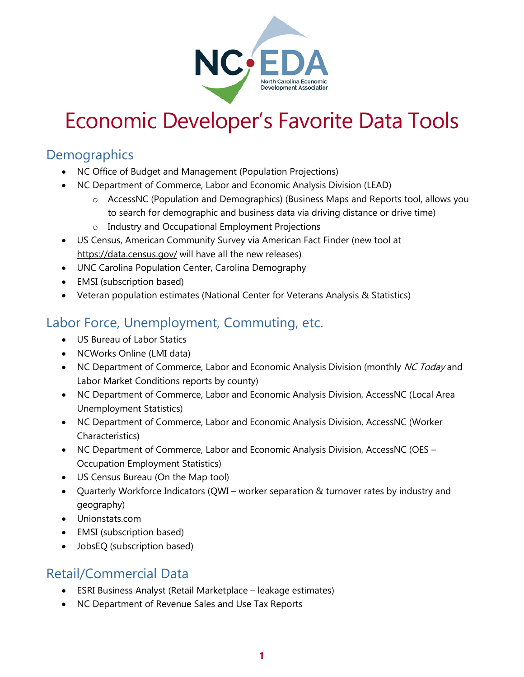

# Economic Developer's Favorite Data Tools

### **Demographics**

- NC Office of Budget and Management (Population Projections)
- NC Department of Commerce, Labor and Economic Analysis Division (LEAD)
	- $\circ$  AccessNC (Population and Demographics) (Business Maps and Reports tool, allows you to search for demographic and business data via driving distance or drive time)
	- o Industry and Occupational Employment Projections
- US Census, American Community Survey via American Fact Finder (new tool at <https://data.census.gov/> will have all the new releases)
- UNC Carolina Population Center, Carolina Demography
- EMSI (subscription based)
- Veteran population estimates (National Center for Veterans Analysis & Statistics)

### Labor Force, Unemployment, Commuting, etc.

- US Bureau of Labor Statics
- NCWorks Online (LMI data)
- NC Department of Commerce, Labor and Economic Analysis Division (monthly NC Today and Labor Market Conditions reports by county)
- NC Department of Commerce, Labor and Economic Analysis Division, AccessNC (Local Area Unemployment Statistics)
- NC Department of Commerce, Labor and Economic Analysis Division, AccessNC (Worker Characteristics)
- NC Department of Commerce, Labor and Economic Analysis Division, AccessNC (OES Occupation Employment Statistics)
- US Census Bureau (On the Map tool)
- Quarterly Workforce Indicators (QWI worker separation & turnover rates by industry and geography)
- Unionstats.com
- EMSI (subscription based)
- JobsEQ (subscription based)

# Retail/Commercial Data

- ESRI Business Analyst (Retail Marketplace leakage estimates)
- NC Department of Revenue Sales and Use Tax Reports